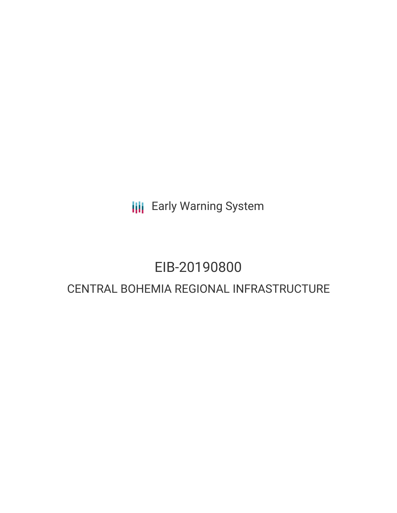**III** Early Warning System

# EIB-20190800

## CENTRAL BOHEMIA REGIONAL INFRASTRUCTURE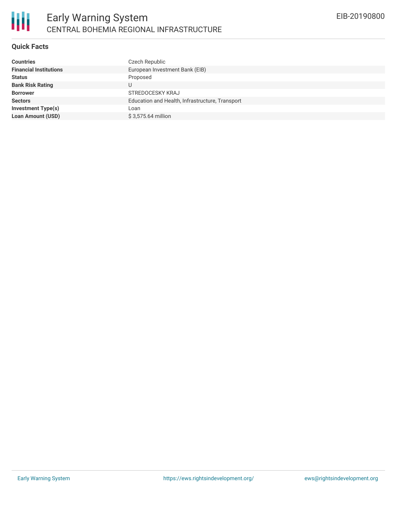### **Quick Facts**

| <b>Countries</b>              | Czech Republic                                  |
|-------------------------------|-------------------------------------------------|
| <b>Financial Institutions</b> | European Investment Bank (EIB)                  |
| <b>Status</b>                 | Proposed                                        |
| <b>Bank Risk Rating</b>       | U                                               |
| <b>Borrower</b>               | <b>STREDOCESKY KRAJ</b>                         |
| <b>Sectors</b>                | Education and Health, Infrastructure, Transport |
| <b>Investment Type(s)</b>     | Loan                                            |
| <b>Loan Amount (USD)</b>      | \$3,575.64 million                              |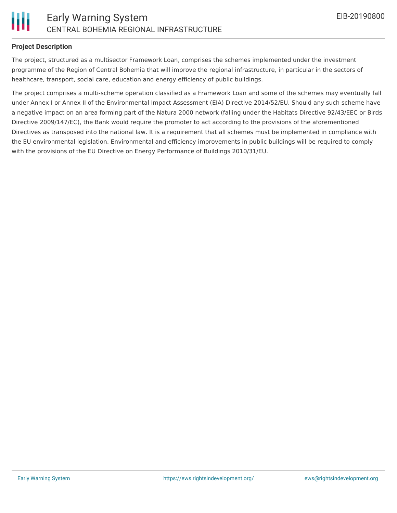

### **Project Description**

The project, structured as a multisector Framework Loan, comprises the schemes implemented under the investment programme of the Region of Central Bohemia that will improve the regional infrastructure, in particular in the sectors of healthcare, transport, social care, education and energy efficiency of public buildings.

The project comprises a multi-scheme operation classified as a Framework Loan and some of the schemes may eventually fall under Annex I or Annex II of the Environmental Impact Assessment (EIA) Directive 2014/52/EU. Should any such scheme have a negative impact on an area forming part of the Natura 2000 network (falling under the Habitats Directive 92/43/EEC or Birds Directive 2009/147/EC), the Bank would require the promoter to act according to the provisions of the aforementioned Directives as transposed into the national law. It is a requirement that all schemes must be implemented in compliance with the EU environmental legislation. Environmental and efficiency improvements in public buildings will be required to comply with the provisions of the EU Directive on Energy Performance of Buildings 2010/31/EU.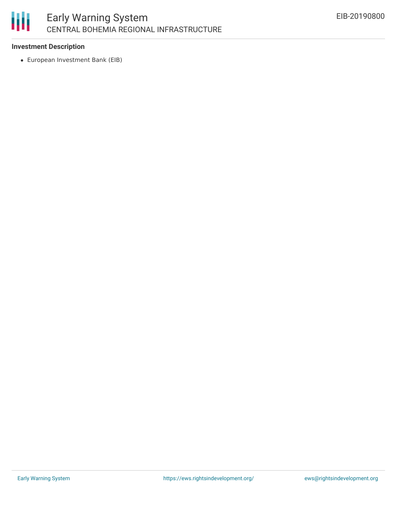

### Early Warning System CENTRAL BOHEMIA REGIONAL INFRASTRUCTURE

### **Investment Description**

European Investment Bank (EIB)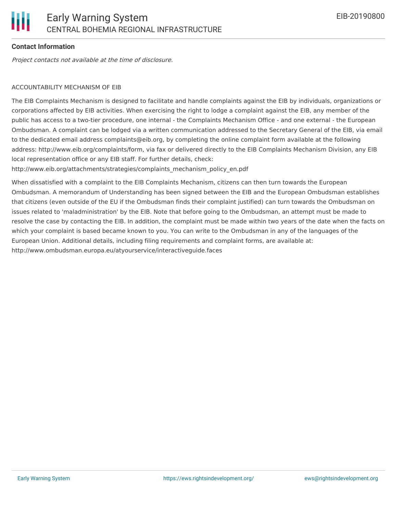### **Contact Information**

Project contacts not available at the time of disclosure.

### ACCOUNTABILITY MECHANISM OF EIB

The EIB Complaints Mechanism is designed to facilitate and handle complaints against the EIB by individuals, organizations or corporations affected by EIB activities. When exercising the right to lodge a complaint against the EIB, any member of the public has access to a two-tier procedure, one internal - the Complaints Mechanism Office - and one external - the European Ombudsman. A complaint can be lodged via a written communication addressed to the Secretary General of the EIB, via email to the dedicated email address complaints@eib.org, by completing the online complaint form available at the following address: http://www.eib.org/complaints/form, via fax or delivered directly to the EIB Complaints Mechanism Division, any EIB local representation office or any EIB staff. For further details, check:

http://www.eib.org/attachments/strategies/complaints\_mechanism\_policy\_en.pdf

When dissatisfied with a complaint to the EIB Complaints Mechanism, citizens can then turn towards the European Ombudsman. A memorandum of Understanding has been signed between the EIB and the European Ombudsman establishes that citizens (even outside of the EU if the Ombudsman finds their complaint justified) can turn towards the Ombudsman on issues related to 'maladministration' by the EIB. Note that before going to the Ombudsman, an attempt must be made to resolve the case by contacting the EIB. In addition, the complaint must be made within two years of the date when the facts on which your complaint is based became known to you. You can write to the Ombudsman in any of the languages of the European Union. Additional details, including filing requirements and complaint forms, are available at: http://www.ombudsman.europa.eu/atyourservice/interactiveguide.faces